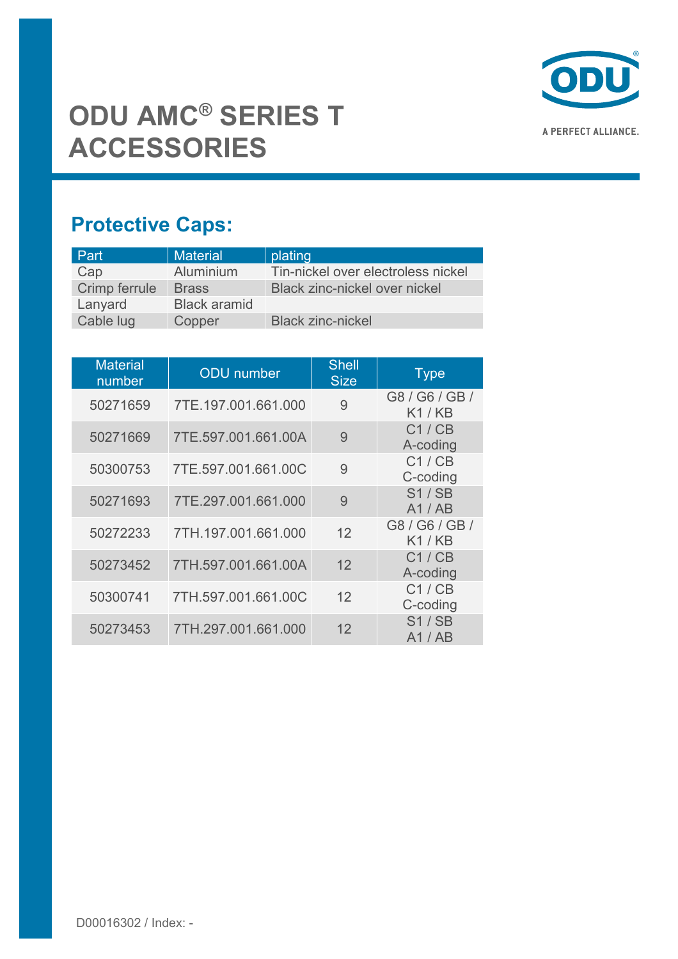

## **Protective Caps:**

| Part          | <b>Material</b>     | plating                            |
|---------------|---------------------|------------------------------------|
| Cap           | Aluminium           | Tin-nickel over electroless nickel |
| Crimp ferrule | <b>Brass</b>        | Black zinc-nickel over nickel      |
| Lanyard       | <b>Black aramid</b> |                                    |
| Cable lug     | Copper              | <b>Black zinc-nickel</b>           |

| <b>Material</b><br>number | <b>ODU</b> number   | <b>Shell</b><br><b>Size</b> | <b>Type</b>             |
|---------------------------|---------------------|-----------------------------|-------------------------|
| 50271659                  | 7TE.197.001.661.000 | 9                           | G8 / G6 / GB /<br>K1/KB |
| 50271669                  | 7TE.597.001.661.00A | 9                           | C1/CB<br>A-coding       |
| 50300753                  | 7TE.597.001.661.00C | 9                           | C1/CB<br>C-coding       |
| 50271693                  | 7TE.297.001.661.000 | 9                           | S1/SB<br>A1 / AB        |
| 50272233                  | 7TH.197.001.661.000 | 12                          | G8 / G6 / GB /<br>K1/KB |
| 50273452                  | 7TH.597.001.661.00A | 12                          | C1/CB<br>A-coding       |
| 50300741                  | 7TH.597.001.661.00C | 12                          | C1/CB<br>C-coding       |
| 50273453                  | 7TH.297.001.661.000 | 12                          | S1/SB<br>A1 / AB        |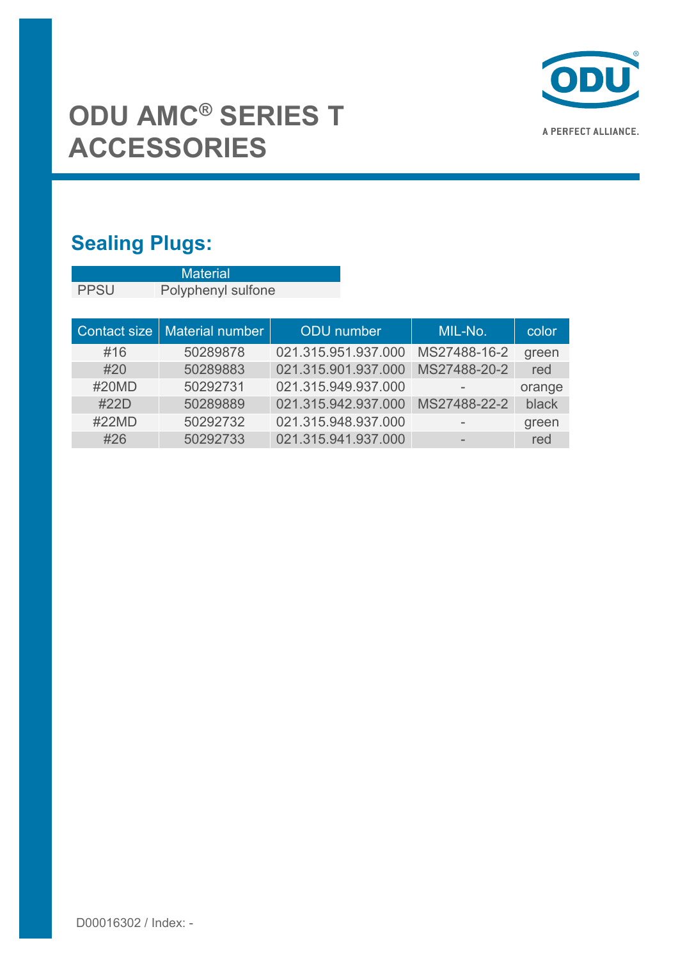

## **Sealing Plugs:**

|                     | <b>Material</b>    |                     |              |        |  |
|---------------------|--------------------|---------------------|--------------|--------|--|
| <b>PPSU</b>         | Polyphenyl sulfone |                     |              |        |  |
|                     |                    |                     |              |        |  |
| <b>Contact size</b> | Material number    | <b>ODU</b> number   | MIL-No.      | color  |  |
| #16                 | 50289878           | 021.315.951.937.000 | MS27488-16-2 | green  |  |
| #20                 | 50289883           | 021.315.901.937.000 | MS27488-20-2 | red    |  |
| #20MD               | 50292731           | 021.315.949.937.000 |              | orange |  |
| #22D                | 50289889           | 021.315.942.937.000 | MS27488-22-2 | black  |  |
| #22MD               | 50292732           | 021.315.948.937.000 |              | green  |  |
| #26                 | 50292733           | 021.315.941.937.000 |              | red    |  |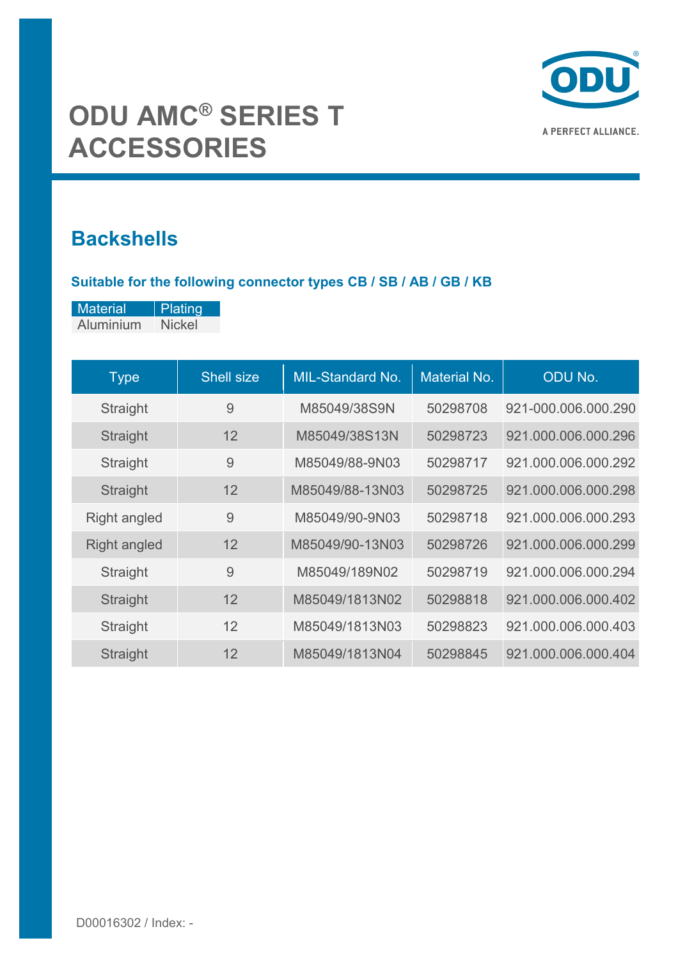

### **Backshells**

#### **Suitable for the following connector types CB / SB / AB / GB / KB**

| <b>Material</b> | Plating       |
|-----------------|---------------|
| Aluminium       | <b>Nickel</b> |

| <b>Type</b>         | <b>Shell size</b> | MIL-Standard No. | <b>Material No.</b> | <b>ODU No.</b>      |
|---------------------|-------------------|------------------|---------------------|---------------------|
| Straight            | 9                 | M85049/38S9N     | 50298708            | 921-000.006.000.290 |
| Straight            | 12                | M85049/38S13N    | 50298723            | 921.000.006.000.296 |
| Straight            | 9                 | M85049/88-9N03   | 50298717            | 921.000.006.000.292 |
| Straight            | 12                | M85049/88-13N03  | 50298725            | 921.000.006.000.298 |
| <b>Right angled</b> | 9                 | M85049/90-9N03   | 50298718            | 921.000.006.000.293 |
| <b>Right angled</b> | 12                | M85049/90-13N03  | 50298726            | 921.000.006.000.299 |
| Straight            | 9                 | M85049/189N02    | 50298719            | 921.000.006.000.294 |
| Straight            | 12                | M85049/1813N02   | 50298818            | 921.000.006.000.402 |
| Straight            | 12                | M85049/1813N03   | 50298823            | 921.000.006.000.403 |
| Straight            | 12                | M85049/1813N04   | 50298845            | 921.000.006.000.404 |